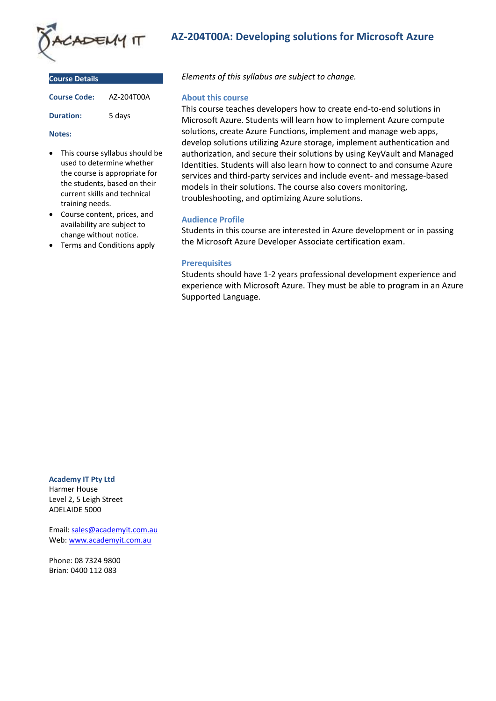

| <b>Course Details</b> |            |  |
|-----------------------|------------|--|
| <b>Course Code:</b>   | A7-204T00A |  |
| <b>Duration:</b>      | 5 days     |  |

#### **Notes:**

- This course syllabus should be used to determine whether the course is appropriate for the students, based on their current skills and technical training needs.
- Course content, prices, and availability are subject to change without notice.
- Terms and Conditions apply

# **AZ-204T00A: Developing solutions for Microsoft Azure**

*Elements of this syllabus are subject to change.*

#### **About this course**

This course teaches developers how to create end-to-end solutions in Microsoft Azure. Students will learn how to implement Azure compute solutions, create Azure Functions, implement and manage web apps, develop solutions utilizing Azure storage, implement authentication and authorization, and secure their solutions by using KeyVault and Managed Identities. Students will also learn how to connect to and consume Azure services and third-party services and include event- and message-based models in their solutions. The course also covers monitoring, troubleshooting, and optimizing Azure solutions.

### **Audience Profile**

Students in this course are interested in Azure development or in passing the Microsoft Azure Developer Associate certification exam.

### **Prerequisites**

Students should have 1-2 years professional development experience and experience with Microsoft Azure. They must be able to program in an Azure Supported Language.

**Academy IT Pty Ltd** Harmer House Level 2, 5 Leigh Street

ADELAIDE 5000 Email: [sales@academyit.com.au](mailto:sales@academyit.com.au)

Web: [www.academyit.com.au](http://www.academyit.com.au/)

Phone: 08 7324 9800 Brian: 0400 112 083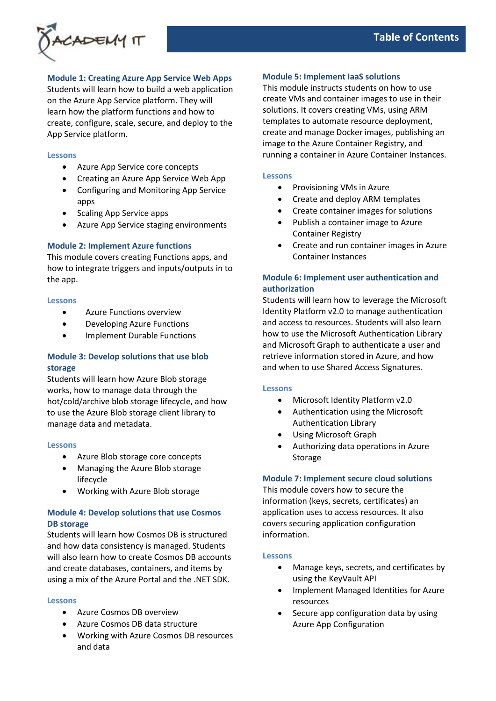

### **Module 1: Creating Azure App Service Web Apps**

Students will learn how to build a web application on the Azure App Service platform. They will learn how the platform functions and how to create, configure, scale, secure, and deploy to the App Service platform.

### **Lessons**

- Azure App Service core concepts
- Creating an Azure App Service Web App
- Configuring and Monitoring App Service apps
- Scaling App Service apps
- Azure App Service staging environments

# **Module 2: Implement Azure functions**

This module covers creating Functions apps, and how to integrate triggers and inputs/outputs in to the app.

### **Lessons**

- Azure Functions overview
- Developing Azure Functions
- Implement Durable Functions

# **Module 3: Develop solutions that use blob storage**

Students will learn how Azure Blob storage works, how to manage data through the hot/cold/archive blob storage lifecycle, and how to use the Azure Blob storage client library to manage data and metadata.

### **Lessons**

- Azure Blob storage core concepts
- Managing the Azure Blob storage lifecycle
- Working with Azure Blob storage

# **Module 4: Develop solutions that use Cosmos DB storage**

Students will learn how Cosmos DB is structured and how data consistency is managed. Students will also learn how to create Cosmos DB accounts and create databases, containers, and items by using a mix of the Azure Portal and the .NET SDK.

#### **Lessons**

- Azure Cosmos DB overview
- Azure Cosmos DB data structure
- Working with Azure Cosmos DB resources and data

### **Module 5: Implement IaaS solutions**

This module instructs students on how to use create VMs and container images to use in their solutions. It covers creating VMs, using ARM templates to automate resource deployment, create and manage Docker images, publishing an image to the Azure Container Registry, and running a container in Azure Container Instances.

### **Lessons**

- Provisioning VMs in Azure
- Create and deploy ARM templates
- Create container images for solutions
- Publish a container image to Azure Container Registry
- Create and run container images in Azure Container Instances

# **Module 6: Implement user authentication and authorization**

Students will learn how to leverage the Microsoft Identity Platform v2.0 to manage authentication and access to resources. Students will also learn how to use the Microsoft Authentication Library and Microsoft Graph to authenticate a user and retrieve information stored in Azure, and how and when to use Shared Access Signatures.

### **Lessons**

- Microsoft Identity Platform v2.0
- Authentication using the Microsoft Authentication Library
- Using Microsoft Graph
- Authorizing data operations in Azure Storage

### **Module 7: Implement secure cloud solutions**

This module covers how to secure the information (keys, secrets, certificates) an application uses to access resources. It also covers securing application configuration information.

### **Lessons**

- Manage keys, secrets, and certificates by using the KeyVault API
- Implement Managed Identities for Azure resources
- Secure app configuration data by using Azure App Configuration